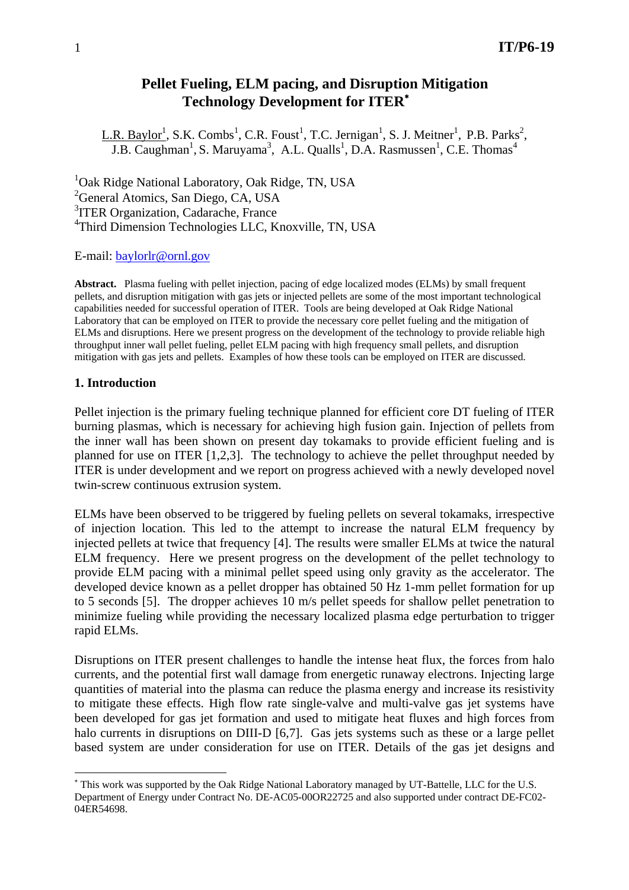# **Pellet Fueling, ELM pacing, and Disruption Mitigation Technology Development for ITER**<sup>∗</sup>

L.R. Baylor<sup>1</sup>, S.K. Combs<sup>1</sup>, C.R. Foust<sup>1</sup>, T.C. Jernigan<sup>1</sup>, S. J. Meitner<sup>1</sup>, P.B. Parks<sup>2</sup>, J.B. Caughman<sup>1</sup>, S. Maruyama<sup>3</sup>, A.L. Qualls<sup>1</sup>, D.A. Rasmussen<sup>1</sup>, C.E. Thomas<sup>4</sup>

<sup>1</sup>Oak Ridge National Laboratory, Oak Ridge, TN, USA <sup>2</sup>General Atomics, San Diego, CA, USA <sup>3</sup>ITER Organization, Cadarache, France 4 Third Dimension Technologies LLC, Knoxville, TN, USA

E-mail: baylorlr@ornl.gov

**Abstract.** Plasma fueling with pellet injection, pacing of edge localized modes (ELMs) by small frequent pellets, and disruption mitigation with gas jets or injected pellets are some of the most important technological capabilities needed for successful operation of ITER. Tools are being developed at Oak Ridge National Laboratory that can be employed on ITER to provide the necessary core pellet fueling and the mitigation of ELMs and disruptions. Here we present progress on the development of the technology to provide reliable high throughput inner wall pellet fueling, pellet ELM pacing with high frequency small pellets, and disruption mitigation with gas jets and pellets. Examples of how these tools can be employed on ITER are discussed.

#### **1. Introduction**

 $\overline{a}$ 

Pellet injection is the primary fueling technique planned for efficient core DT fueling of ITER burning plasmas, which is necessary for achieving high fusion gain. Injection of pellets from the inner wall has been shown on present day tokamaks to provide efficient fueling and is planned for use on ITER [1,2,3]. The technology to achieve the pellet throughput needed by ITER is under development and we report on progress achieved with a newly developed novel twin-screw continuous extrusion system.

ELMs have been observed to be triggered by fueling pellets on several tokamaks, irrespective of injection location. This led to the attempt to increase the natural ELM frequency by injected pellets at twice that frequency [4]. The results were smaller ELMs at twice the natural ELM frequency. Here we present progress on the development of the pellet technology to provide ELM pacing with a minimal pellet speed using only gravity as the accelerator. The developed device known as a pellet dropper has obtained 50 Hz 1-mm pellet formation for up to 5 seconds [5]. The dropper achieves 10 m/s pellet speeds for shallow pellet penetration to minimize fueling while providing the necessary localized plasma edge perturbation to trigger rapid ELMs.

Disruptions on ITER present challenges to handle the intense heat flux, the forces from halo currents, and the potential first wall damage from energetic runaway electrons. Injecting large quantities of material into the plasma can reduce the plasma energy and increase its resistivity to mitigate these effects. High flow rate single-valve and multi-valve gas jet systems have been developed for gas jet formation and used to mitigate heat fluxes and high forces from halo currents in disruptions on DIII-D [6,7]. Gas jets systems such as these or a large pellet based system are under consideration for use on ITER. Details of the gas jet designs and

<sup>∗</sup> This work was supported by the Oak Ridge National Laboratory managed by UT-Battelle, LLC for the U.S. Department of Energy under Contract No. DE-AC05-00OR22725 and also supported under contract DE-FC02- 04ER54698.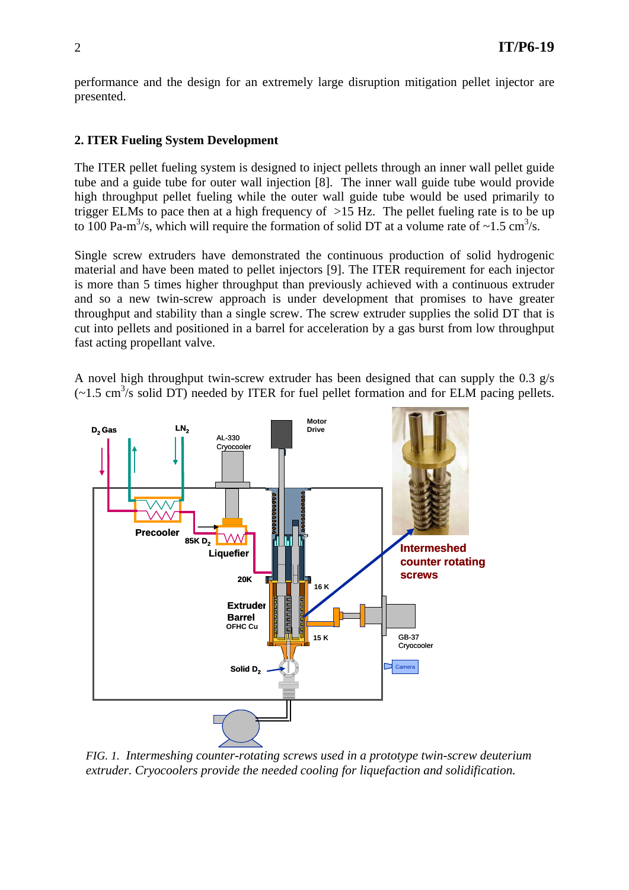performance and the design for an extremely large disruption mitigation pellet injector are presented.

## **2. ITER Fueling System Development**

The ITER pellet fueling system is designed to inject pellets through an inner wall pellet guide tube and a guide tube for outer wall injection [8]. The inner wall guide tube would provide high throughput pellet fueling while the outer wall guide tube would be used primarily to trigger ELMs to pace then at a high frequency of >15 Hz. The pellet fueling rate is to be up to 100 Pa-m<sup>3</sup>/s, which will require the formation of solid DT at a volume rate of ~1.5 cm<sup>3</sup>/s.

Single screw extruders have demonstrated the continuous production of solid hydrogenic material and have been mated to pellet injectors [9]. The ITER requirement for each injector is more than 5 times higher throughput than previously achieved with a continuous extruder and so a new twin-screw approach is under development that promises to have greater throughput and stability than a single screw. The screw extruder supplies the solid DT that is cut into pellets and positioned in a barrel for acceleration by a gas burst from low throughput fast acting propellant valve.

A novel high throughput twin-screw extruder has been designed that can supply the 0.3 g/s  $(-1.5 \text{ cm}^3/\text{s} \text{ solid DT})$  needed by ITER for fuel pellet formation and for ELM pacing pellets.



*FIG. 1. Intermeshing counter-rotating screws used in a prototype twin-screw deuterium extruder. Cryocoolers provide the needed cooling for liquefaction and solidification.*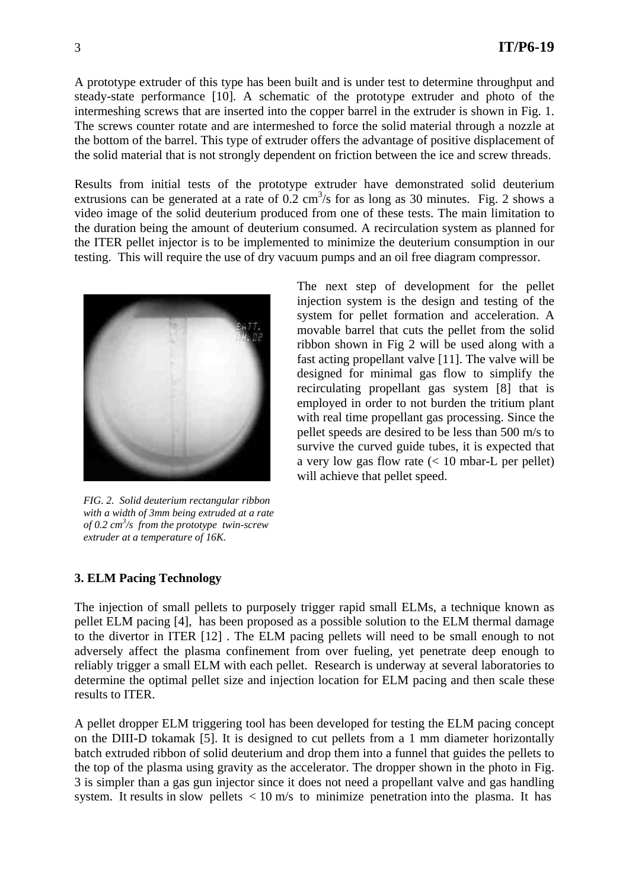A prototype extruder of this type has been built and is under test to determine throughput and steady-state performance [10]. A schematic of the prototype extruder and photo of the intermeshing screws that are inserted into the copper barrel in the extruder is shown in Fig. 1. The screws counter rotate and are intermeshed to force the solid material through a nozzle at the bottom of the barrel. This type of extruder offers the advantage of positive displacement of the solid material that is not strongly dependent on friction between the ice and screw threads.

Results from initial tests of the prototype extruder have demonstrated solid deuterium extrusions can be generated at a rate of  $0.2 \text{ cm}^3/\text{s}$  for as long as 30 minutes. Fig. 2 shows a video image of the solid deuterium produced from one of these tests. The main limitation to the duration being the amount of deuterium consumed. A recirculation system as planned for the ITER pellet injector is to be implemented to minimize the deuterium consumption in our testing. This will require the use of dry vacuum pumps and an oil free diagram compressor.



*FIG. 2. Solid deuterium rectangular ribbon with a width of 3mm being extruded at a rate of 0.2 cm<sup>3</sup> /s from the prototype twin-screw extruder at a temperature of 16K.* 

The next step of development for the pellet injection system is the design and testing of the system for pellet formation and acceleration. A movable barrel that cuts the pellet from the solid ribbon shown in Fig 2 will be used along with a fast acting propellant valve [11]. The valve will be designed for minimal gas flow to simplify the recirculating propellant gas system [8] that is employed in order to not burden the tritium plant with real time propellant gas processing. Since the pellet speeds are desired to be less than 500 m/s to survive the curved guide tubes, it is expected that a very low gas flow rate  $\ll 10$  mbar-L per pellet) will achieve that pellet speed.

# **3. ELM Pacing Technology**

The injection of small pellets to purposely trigger rapid small ELMs, a technique known as pellet ELM pacing [4], has been proposed as a possible solution to the ELM thermal damage to the divertor in ITER [12] . The ELM pacing pellets will need to be small enough to not adversely affect the plasma confinement from over fueling, yet penetrate deep enough to reliably trigger a small ELM with each pellet. Research is underway at several laboratories to determine the optimal pellet size and injection location for ELM pacing and then scale these results to ITER.

A pellet dropper ELM triggering tool has been developed for testing the ELM pacing concept on the DIII-D tokamak [5]. It is designed to cut pellets from a 1 mm diameter horizontally batch extruded ribbon of solid deuterium and drop them into a funnel that guides the pellets to the top of the plasma using gravity as the accelerator. The dropper shown in the photo in Fig. 3 is simpler than a gas gun injector since it does not need a propellant valve and gas handling system. It results in slow pellets  $\langle 10 \text{ m/s} \rangle$  to minimize penetration into the plasma. It has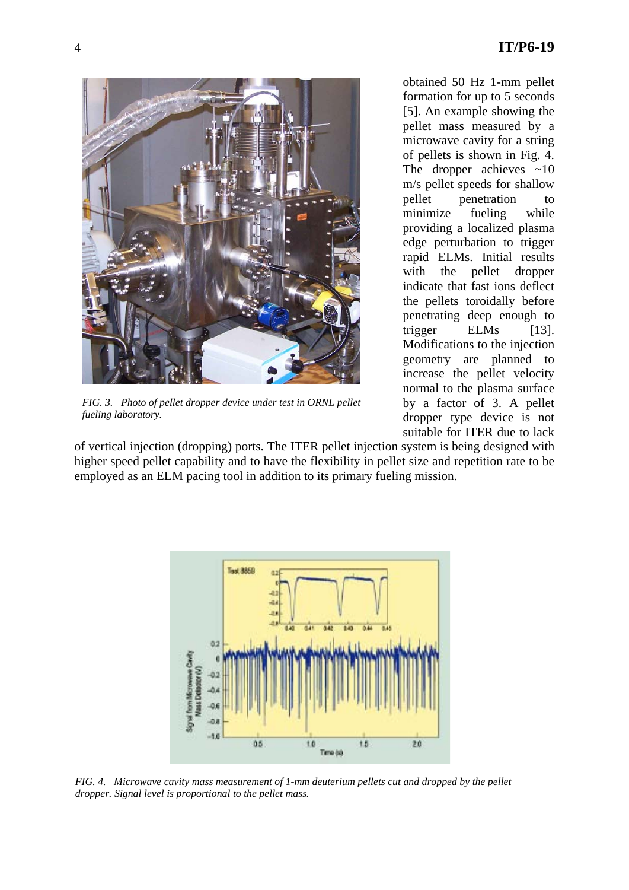

*FIG. 3. Photo of pellet dropper device under test in ORNL pellet fueling laboratory.* 

of vertical injection (dropping) ports. The ITER pellet injection system is being designed with higher speed pellet capability and to have the flexibility in pellet size and repetition rate to be employed as an ELM pacing tool in addition to its primary fueling mission.



*FIG. 4. Microwave cavity mass measurement of 1-mm deuterium pellets cut and dropped by the pellet dropper. Signal level is proportional to the pellet mass.* 

obtained 50 Hz 1-mm pellet formation for up to 5 seconds [5]. An example showing the pellet mass measured by a microwave cavity for a string of pellets is shown in Fig. 4. The dropper achieves  $\sim 10$ m/s pellet speeds for shallow pellet penetration to minimize fueling while providing a localized plasma edge perturbation to trigger rapid ELMs. Initial results with the pellet dropper indicate that fast ions deflect the pellets toroidally before penetrating deep enough to trigger ELMs [13]. Modifications to the injection geometry are planned to increase the pellet velocity normal to the plasma surface by a factor of 3. A pellet dropper type device is not suitable for ITER due to lack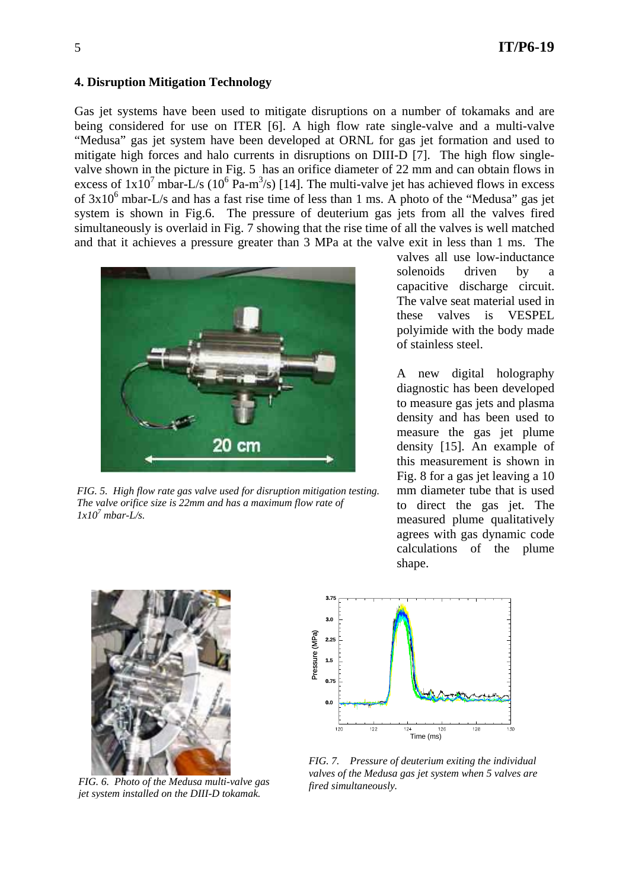## **4. Disruption Mitigation Technology**

Gas jet systems have been used to mitigate disruptions on a number of tokamaks and are being considered for use on ITER [6]. A high flow rate single-valve and a multi-valve "Medusa" gas jet system have been developed at ORNL for gas jet formation and used to mitigate high forces and halo currents in disruptions on DIII-D [7]. The high flow singlevalve shown in the picture in Fig. 5 has an orifice diameter of 22 mm and can obtain flows in excess of  $1x10^7$  mbar-L/s  $(10^6$  Pa-m<sup>3</sup>/s) [14]. The multi-valve jet has achieved flows in excess of  $3x10^6$  mbar-L/s and has a fast rise time of less than 1 ms. A photo of the "Medusa" gas jet system is shown in Fig.6. The pressure of deuterium gas jets from all the valves fired simultaneously is overlaid in Fig. 7 showing that the rise time of all the valves is well matched and that it achieves a pressure greater than 3 MPa at the valve exit in less than 1 ms. The



*FIG. 5. High flow rate gas valve used for disruption mitigation testing. The valve orifice size is 22mm and has a maximum flow rate of*   $1x10^7$  *mbar-L/s.* 

valves all use low-inductance solenoids driven by a capacitive discharge circuit. The valve seat material used in these valves is VESPEL polyimide with the body made of stainless steel.

A new digital holography diagnostic has been developed to measure gas jets and plasma density and has been used to measure the gas jet plume density [15]. An example of this measurement is shown in Fig. 8 for a gas jet leaving a 10 mm diameter tube that is used to direct the gas jet. The measured plume qualitatively agrees with gas dynamic code calculations of the plume shape.



*FIG. 6. Photo of the Medusa multi-valve gas jet system installed on the DIII-D tokamak.* 



*FIG. 7. Pressure of deuterium exiting the individual valves of the Medusa gas jet system when 5 valves are fired simultaneously.*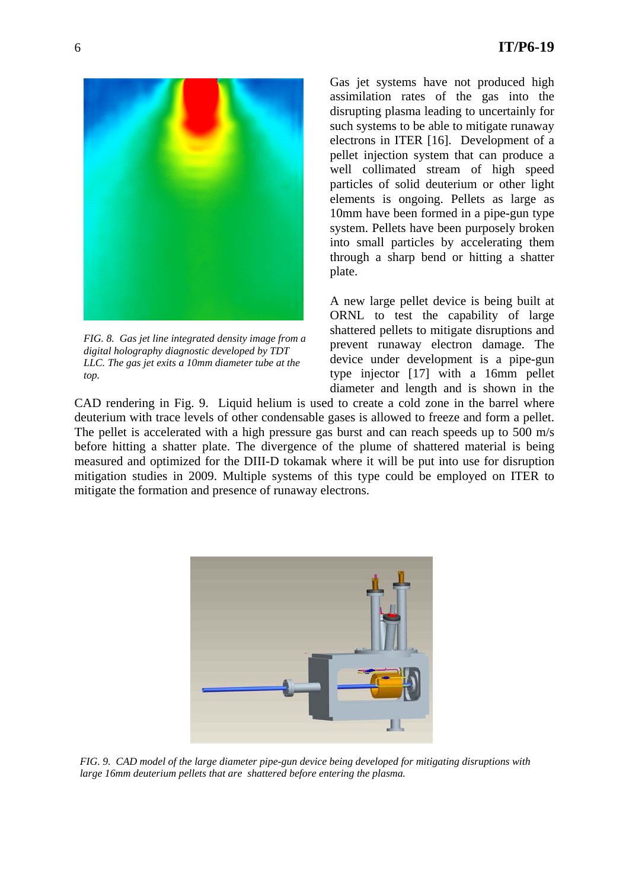

*FIG. 8. Gas jet line integrated density image from a digital holography diagnostic developed by TDT LLC. The gas jet exits a 10mm diameter tube at the top.* 

Gas jet systems have not produced high assimilation rates of the gas into the disrupting plasma leading to uncertainly for such systems to be able to mitigate runaway electrons in ITER [16]. Development of a pellet injection system that can produce a well collimated stream of high speed particles of solid deuterium or other light elements is ongoing. Pellets as large as 10mm have been formed in a pipe-gun type system. Pellets have been purposely broken into small particles by accelerating them through a sharp bend or hitting a shatter plate.

A new large pellet device is being built at ORNL to test the capability of large shattered pellets to mitigate disruptions and prevent runaway electron damage. The device under development is a pipe-gun type injector [17] with a 16mm pellet diameter and length and is shown in the

CAD rendering in Fig. 9. Liquid helium is used to create a cold zone in the barrel where deuterium with trace levels of other condensable gases is allowed to freeze and form a pellet. The pellet is accelerated with a high pressure gas burst and can reach speeds up to 500 m/s before hitting a shatter plate. The divergence of the plume of shattered material is being measured and optimized for the DIII-D tokamak where it will be put into use for disruption mitigation studies in 2009. Multiple systems of this type could be employed on ITER to mitigate the formation and presence of runaway electrons.



*FIG. 9. CAD model of the large diameter pipe-gun device being developed for mitigating disruptions with large 16mm deuterium pellets that are shattered before entering the plasma.*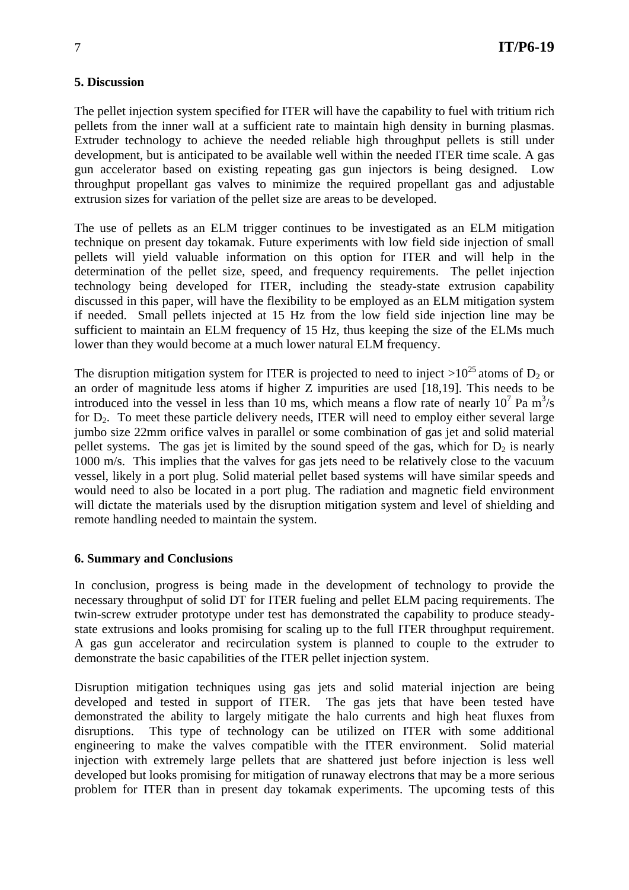# **5. Discussion**

The pellet injection system specified for ITER will have the capability to fuel with tritium rich pellets from the inner wall at a sufficient rate to maintain high density in burning plasmas. Extruder technology to achieve the needed reliable high throughput pellets is still under development, but is anticipated to be available well within the needed ITER time scale. A gas gun accelerator based on existing repeating gas gun injectors is being designed. Low throughput propellant gas valves to minimize the required propellant gas and adjustable extrusion sizes for variation of the pellet size are areas to be developed.

The use of pellets as an ELM trigger continues to be investigated as an ELM mitigation technique on present day tokamak. Future experiments with low field side injection of small pellets will yield valuable information on this option for ITER and will help in the determination of the pellet size, speed, and frequency requirements. The pellet injection technology being developed for ITER, including the steady-state extrusion capability discussed in this paper, will have the flexibility to be employed as an ELM mitigation system if needed. Small pellets injected at 15 Hz from the low field side injection line may be sufficient to maintain an ELM frequency of 15 Hz, thus keeping the size of the ELMs much lower than they would become at a much lower natural ELM frequency.

The disruption mitigation system for ITER is projected to need to inject  $>10^{25}$  atoms of D<sub>2</sub> or an order of magnitude less atoms if higher Z impurities are used [18,19]. This needs to be introduced into the vessel in less than 10 ms, which means a flow rate of nearly  $10^7$  Pa m<sup>3</sup>/s for  $D_2$ . To meet these particle delivery needs, ITER will need to employ either several large jumbo size 22mm orifice valves in parallel or some combination of gas jet and solid material pellet systems. The gas jet is limited by the sound speed of the gas, which for  $D_2$  is nearly 1000 m/s. This implies that the valves for gas jets need to be relatively close to the vacuum vessel, likely in a port plug. Solid material pellet based systems will have similar speeds and would need to also be located in a port plug. The radiation and magnetic field environment will dictate the materials used by the disruption mitigation system and level of shielding and remote handling needed to maintain the system.

# **6. Summary and Conclusions**

In conclusion, progress is being made in the development of technology to provide the necessary throughput of solid DT for ITER fueling and pellet ELM pacing requirements. The twin-screw extruder prototype under test has demonstrated the capability to produce steadystate extrusions and looks promising for scaling up to the full ITER throughput requirement. A gas gun accelerator and recirculation system is planned to couple to the extruder to demonstrate the basic capabilities of the ITER pellet injection system.

Disruption mitigation techniques using gas jets and solid material injection are being developed and tested in support of ITER. The gas jets that have been tested have demonstrated the ability to largely mitigate the halo currents and high heat fluxes from disruptions. This type of technology can be utilized on ITER with some additional engineering to make the valves compatible with the ITER environment. Solid material injection with extremely large pellets that are shattered just before injection is less well developed but looks promising for mitigation of runaway electrons that may be a more serious problem for ITER than in present day tokamak experiments. The upcoming tests of this